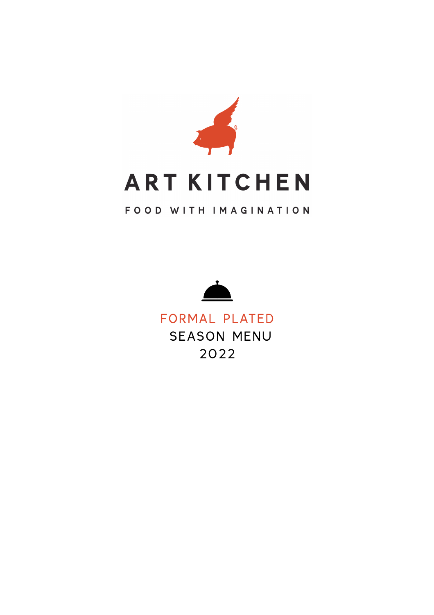

## FOOD WITH IMAGINATION



FORMAL PLATED SEASON MENU 2022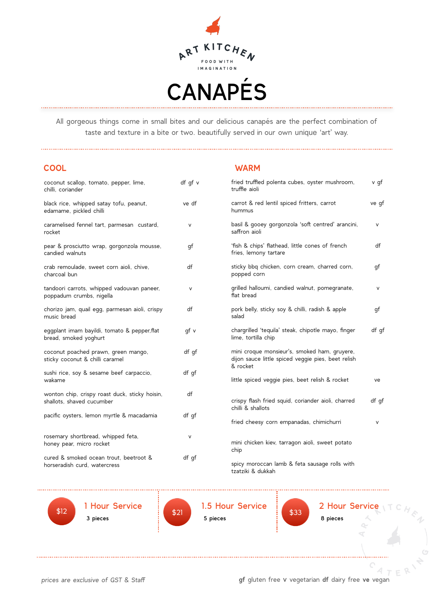

All gorgeous things come in small bites and our delicious canapés are the perfect combination of taste and texture in a bite or two. beautifully served in our own unique 'art' way.

| <b>COOL</b> | <b>WARM</b> |  |
|-------------|-------------|--|
|             |             |  |

| coconut scallop, tomato, pepper, lime,<br>chilli, coriander                 | df gf v | fried truffled polenta cubes, oyster mushroom,<br>truffle aioli                                                | v qf   |
|-----------------------------------------------------------------------------|---------|----------------------------------------------------------------------------------------------------------------|--------|
| black rice, whipped satay tofu, peanut,<br>edamame, pickled chilli          | ve df   | carrot & red lentil spiced fritters, carrot<br>hummus                                                          | ve qf  |
| caramelised fennel tart, parmesan custard,<br>rocket                        | v       | basil & gooey gorgonzola 'soft centred' arancini,<br>saffron aioli                                             | $\vee$ |
| pear & prosciutto wrap, gorgonzola mousse,<br>candied walnuts               | qf      | 'fish & chips' flathead, little cones of french<br>fries, lemony tartare                                       | df     |
| crab remoulade, sweet corn aioli, chive,<br>charcoal bun                    | df      | sticky bbq chicken, corn cream, charred corn,<br>popped corn                                                   | gf     |
| tandoori carrots, whipped vadouvan paneer,<br>poppadum crumbs, nigella      | $\vee$  | grilled halloumi, candied walnut, pomegranate,<br>flat bread                                                   | $\vee$ |
| chorizo jam, quail egg, parmesan aioli, crispy<br>music bread               | df      | pork belly, sticky soy & chilli, radish & apple<br>salad                                                       | qf     |
| eggplant imam bayildi, tomato & pepper, flat<br>bread, smoked yoghurt       | qf v    | chargrilled 'tequila' steak, chipotle mayo, finger<br>lime, tortilla chip                                      | df gf  |
| coconut poached prawn, green mango,<br>sticky coconut & chilli caramel      | df qf   | mini croque monsieur's, smoked ham, gruyere,<br>dijon sauce little spiced veggie pies, beet relish<br>& rocket |        |
| sushi rice, soy & sesame beef carpaccio,<br>wakame                          | df gf   | little spiced veggie pies, beet relish & rocket                                                                | ve     |
| wonton chip, crispy roast duck, sticky hoisin,<br>shallots, shaved cucumber | df      | crispy flash fried squid, coriander aioli, charred<br>chilli & shallots                                        | df gf  |
| pacific oysters, lemon myrtle & macadamia                                   | df gf   | fried cheesy corn empanadas, chimichurri                                                                       | $\vee$ |
| rosemary shortbread, whipped feta,<br>honey pear, micro rocket              | V       | mini chicken kiev, tarragon aioli, sweet potato<br>chip                                                        |        |
| cured & smoked ocean trout, beetroot &<br>horseradish curd, watercress      | df gf   | spicy moroccan lamb & feta sausage rolls with<br>tzatziki & dukkah                                             |        |

\$12 1 Hour Service 3 pieces  $$12$  \$21  $$21$   $$21$ 



\$21 1.5 Hour Service

5 pieces

\$33 2 Hour Service

.\...........

8 pieces

*prices are exclusive of GST & Staff* **gf** gluten free v vegetarian **df** dairy free **ve** vegan